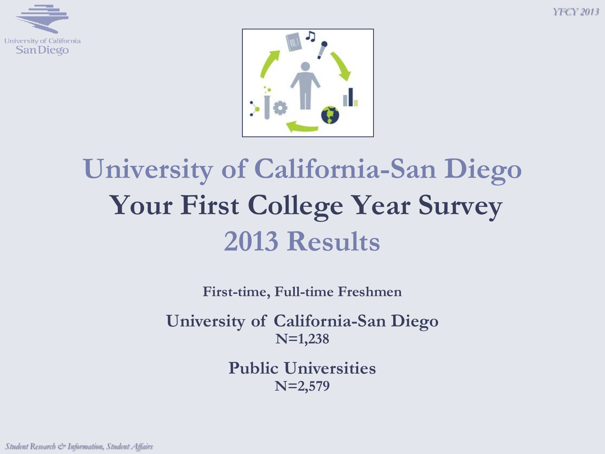*YFCY 2013*





# **University of California-San Diego Your First College Year Survey 2013 Results**

**First-time, Full-time Freshmen**

**University of California-San Diego N=1,238**

> **Public Universities N=2,579**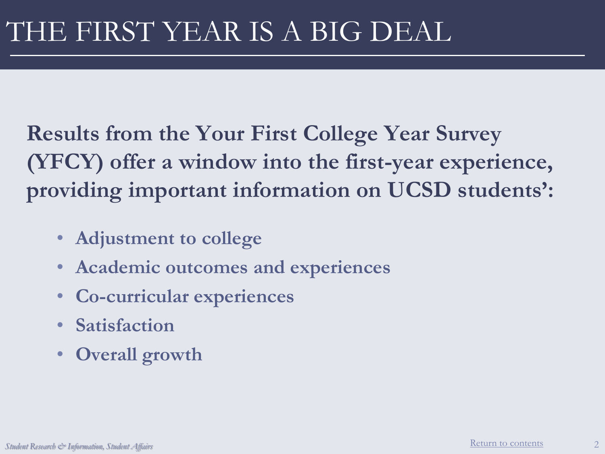**Results from the Your First College Year Survey (YFCY) offer a window into the first-year experience, providing important information on UCSD students':**

- **Adjustment to college**
- **Academic outcomes and experiences**
- **Co-curricular experiences**
- **Satisfaction**
- **Overall growth**

2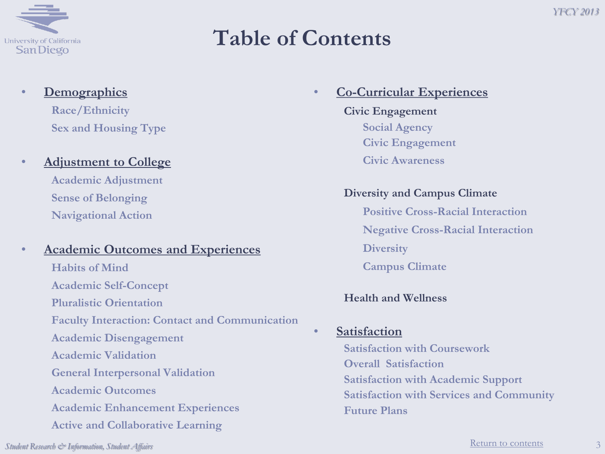<span id="page-2-0"></span>

## **Table of Contents**

#### • **Demographics**

**Race/Ethnicity Sex and Housing Type**

#### • **Adjustment to College**

**Academic Adjustment Sense of Belonging Navigational Action**

#### • **Academic Outcomes and Experiences**

**Habits of Mind Academic Self-Concept Pluralistic Orientation Faculty Interaction: Contact and Communication Academic Disengagement Academic Validation General Interpersonal Validation Academic Outcomes Academic Enhancement Experiences Active and Collaborative Learning** 

#### • **Co-Curricular Experiences Civic Engagement Social Agency Civic Engagement**

**Civic Awareness**

#### **Diversity and Campus Climate**

**Positive Cross-Racial Interaction Negative Cross-Racial Interaction Diversity Campus Climate**

#### **Health and Wellness**

#### • **Satisfaction**

**Satisfaction with Coursework Overall Satisfaction Satisfaction with Academic Support Satisfaction with Services and Community Future Plans**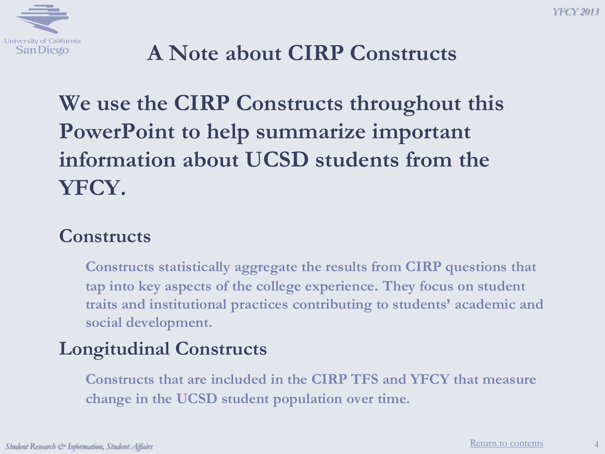

## **A Note about CIRP Constructs**

## **We use the CIRP Constructs throughout this PowerPoint to help summarize important information about UCSD students from the YFCY.**

#### **Constructs**

**Constructs statistically aggregate the results from CIRP questions that tap into key aspects of the college experience. They focus on student traits and institutional practices contributing to students' academic and social development.**

#### **Longitudinal Constructs**

**Constructs that are included in the CIRP TFS and YFCY that measure change in the UCSD student population over time.**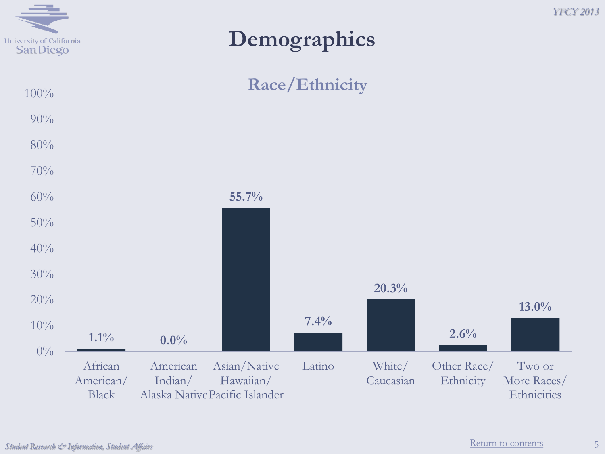

### **Demographics**



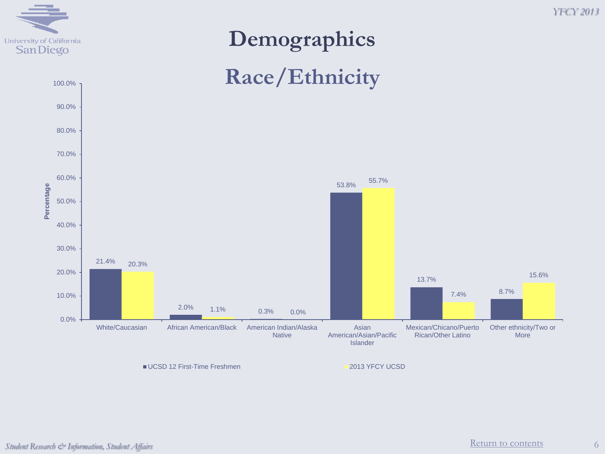

# **Demographics Race/Ethnicity**



■ UCSD 12 First-Time Freshmen 2013 YFCY UCSD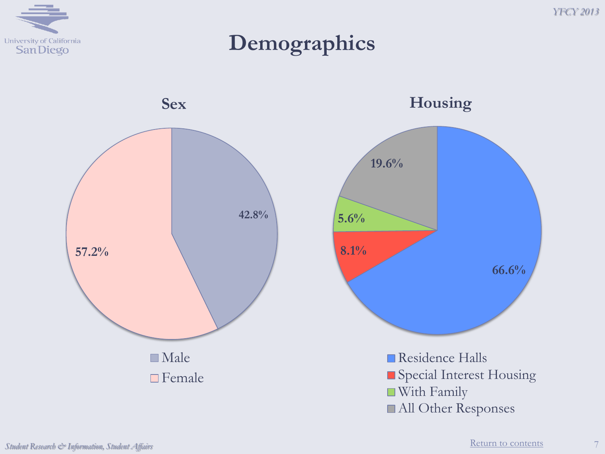

**Demographics**

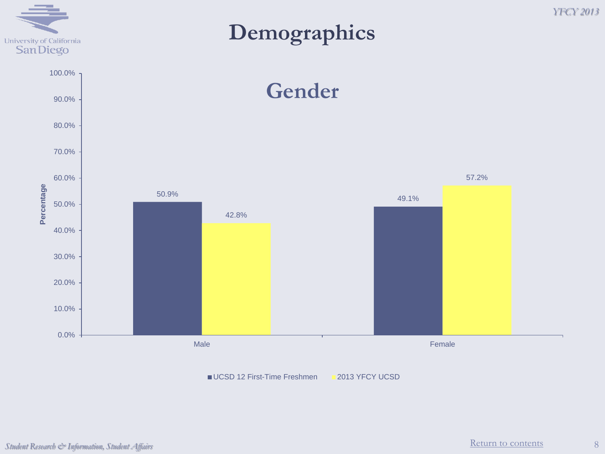

#### *YFCY 2013*

#### **Demographics**



UCSD 12 First-Time Freshmen 2013 YFCY UCSD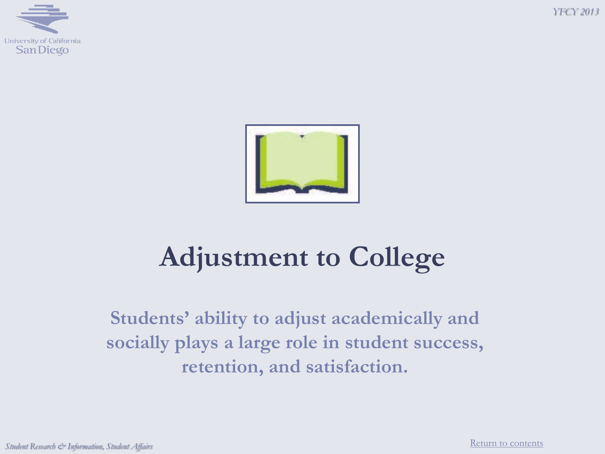





# **Adjustment to College**

**Students' ability to adjust academically and socially plays a large role in student success, retention, and satisfaction.**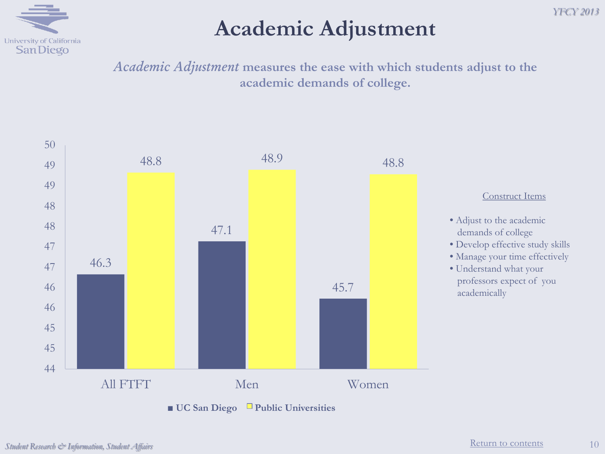

#### **Academic Adjustment**

*Academic Adjustment* **measures the ease with which students adjust to the academic demands of college.**

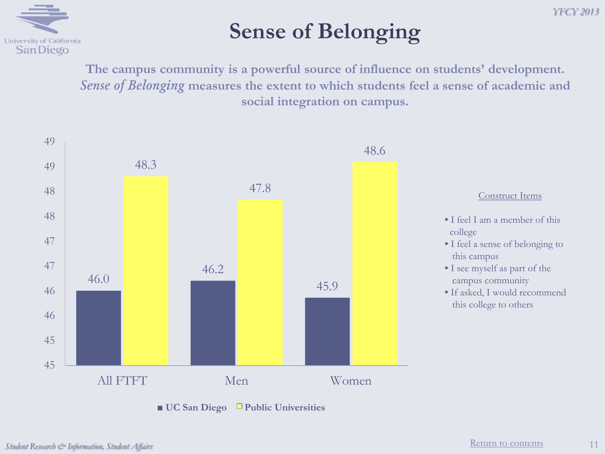

## **Sense of Belonging**

**The campus community is a powerful source of influence on students' development.**  *Sense of Belonging* **measures the extent to which students feel a sense of academic and social integration on campus.**

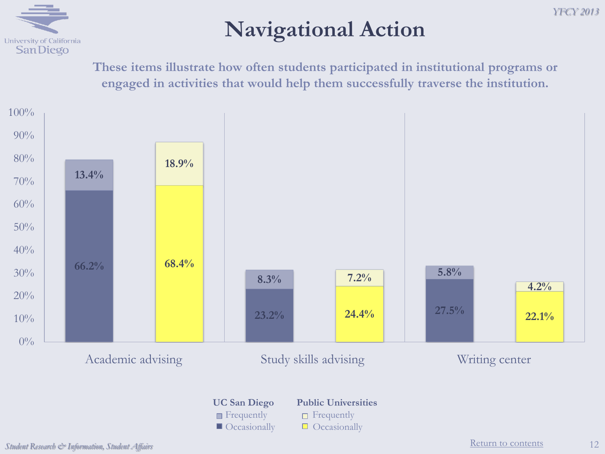## **Navigational Action**

**These items illustrate how often students participated in institutional programs or engaged in activities that would help them successfully traverse the institution.**



**Figurently Figurently Figurently**  $\Box$  Occasionally  $\Box$  Occasionally

**UC San Diego Public Universities**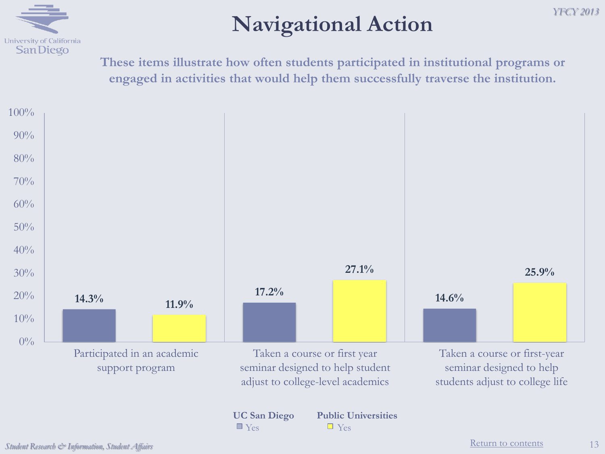

## **Navigational Action**

**These items illustrate how often students participated in institutional programs or engaged in activities that would help them successfully traverse the institution.**



*YFCY 2013*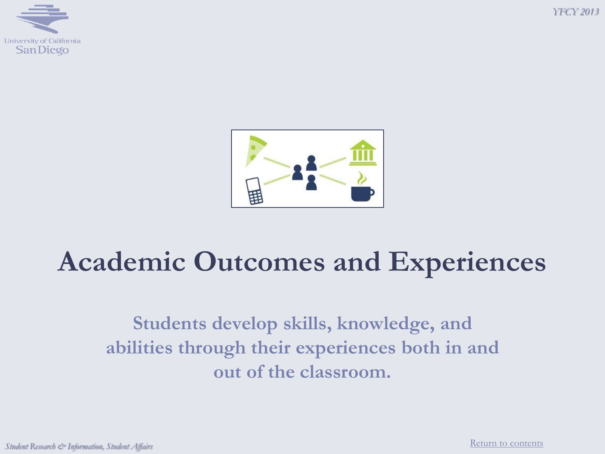





# **Academic Outcomes and Experiences**

**Students develop skills, knowledge, and abilities through their experiences both in and out of the classroom.**

*Student Research & Information, Student Affairs*

[Return to contents](#page-2-0)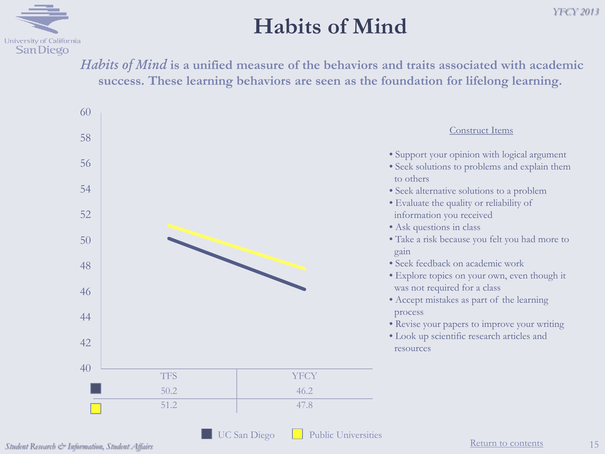

#### **Habits of Mind**

*Habits of Mind* **is a unified measure of the behaviors and traits associated with academic success. These learning behaviors are seen as the foundation for lifelong learning.**

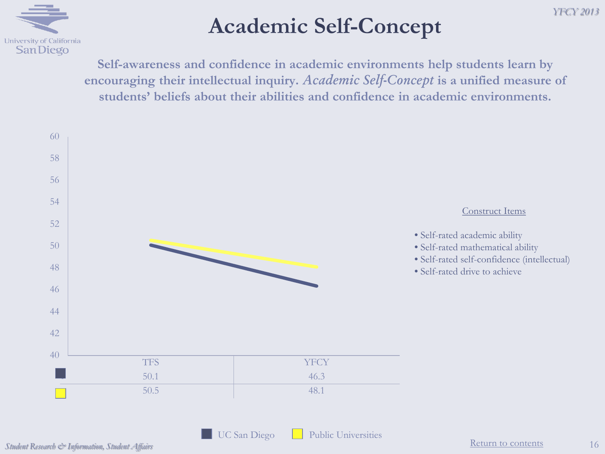

### **Academic Self-Concept**

**Self-awareness and confidence in academic environments help students learn by encouraging their intellectual inquiry.** *Academic Self-Concept* **is a unified measure of students' beliefs about their abilities and confidence in academic environments.**



UC San Diego Public Universities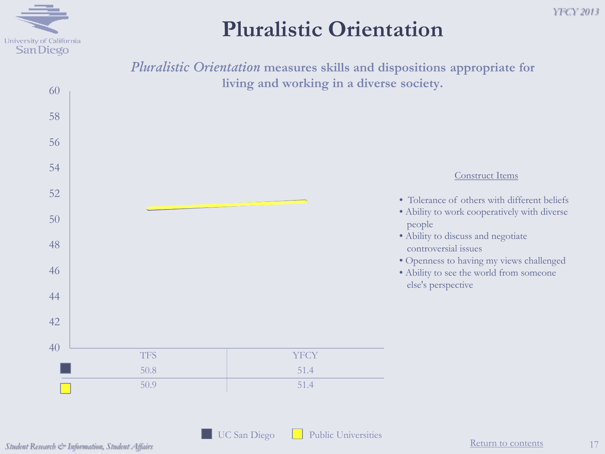

### **Pluralistic Orientation**

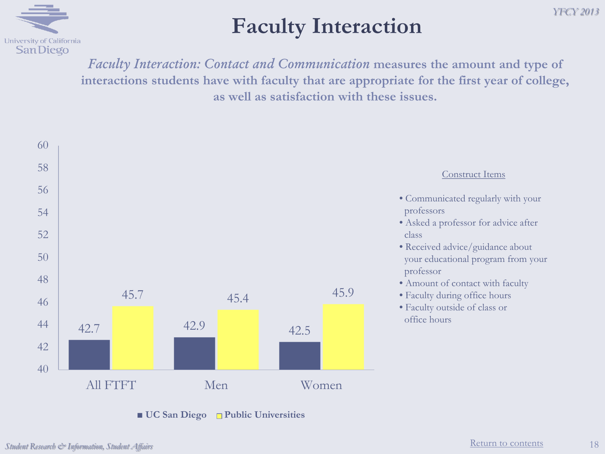

### **Faculty Interaction**

*Faculty Interaction: Contact and Communication* **measures the amount and type of interactions students have with faculty that are appropriate for the first year of college, as well as satisfaction with these issues.**



■ **UC** San Diego □ Public Universities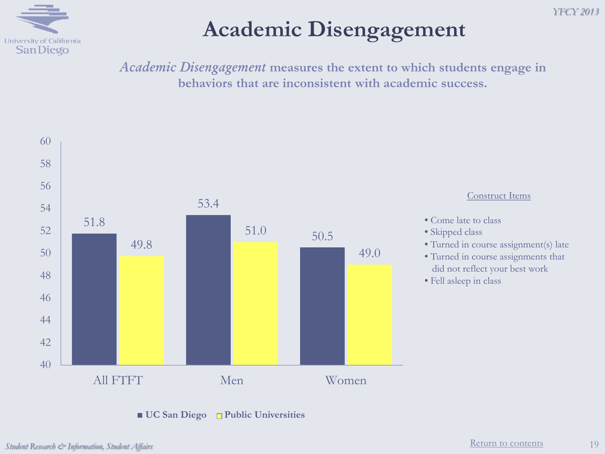

## **Academic Disengagement**

*Academic Disengagement* **measures the extent to which students engage in behaviors that are inconsistent with academic success.** 

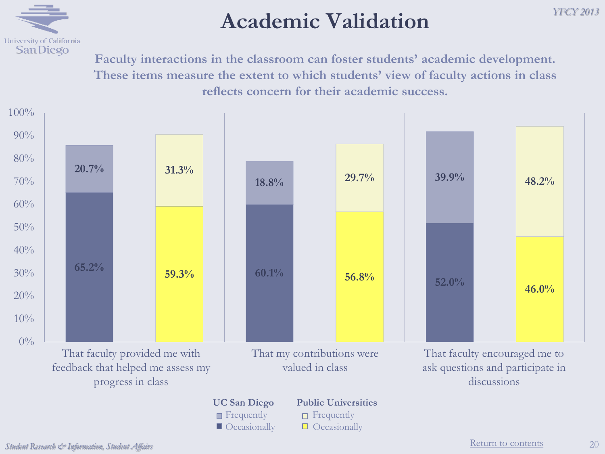

#### **Academic Validation**

*YFCY 2013*

**Faculty interactions in the classroom can foster students' academic development. These items measure the extent to which students' view of faculty actions in class reflects concern for their academic success.**



 $\Box$  Occasionally  $\Box$  Occasionally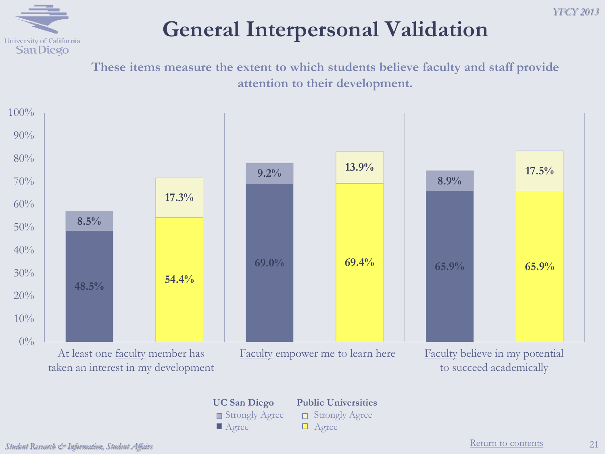

### **General Interpersonal Validation**

**These items measure the extent to which students believe faculty and staff provide attention to their development.**



**UC San Diego Public Universities** Strongly Agree **D** Strongly Agree Agree **Agree** 

to succeed academically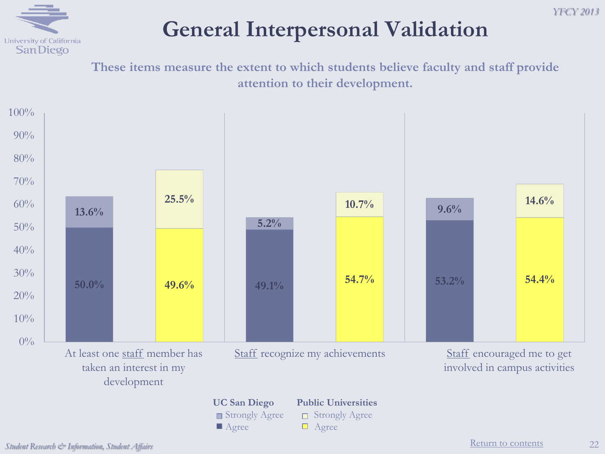

### **General Interpersonal Validation**

**These items measure the extent to which students believe faculty and staff provide attention to their development.**

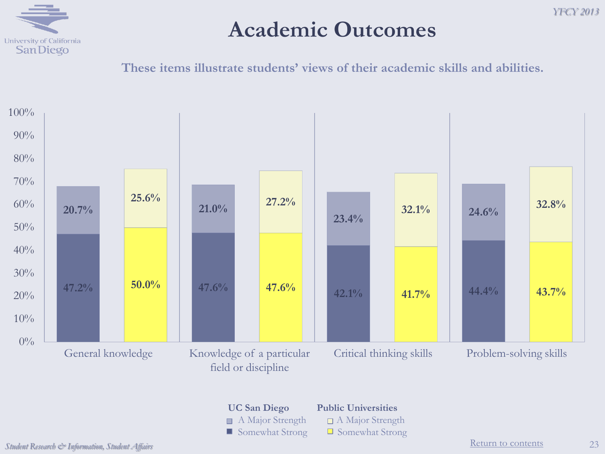

#### **Academic Outcomes**

**These items illustrate students' views of their academic skills and abilities.**



**UC San Diego Public Universities** A Major Strength  $\Box$  A Major Strength  $\Box$  Somewhat Strong  $\Box$  Somewhat Strong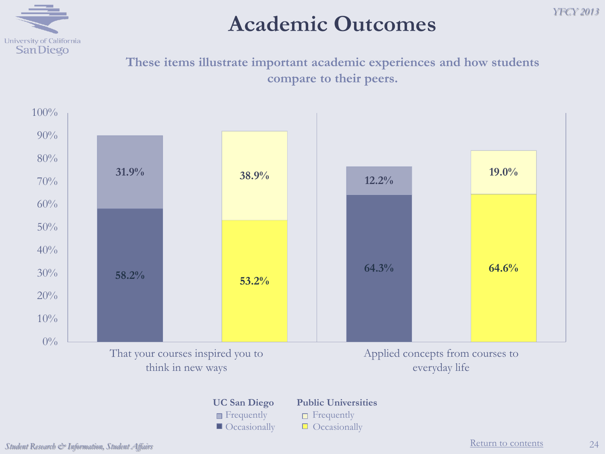

#### **Academic Outcomes**

**These items illustrate important academic experiences and how students compare to their peers.**



*YFCY 2013*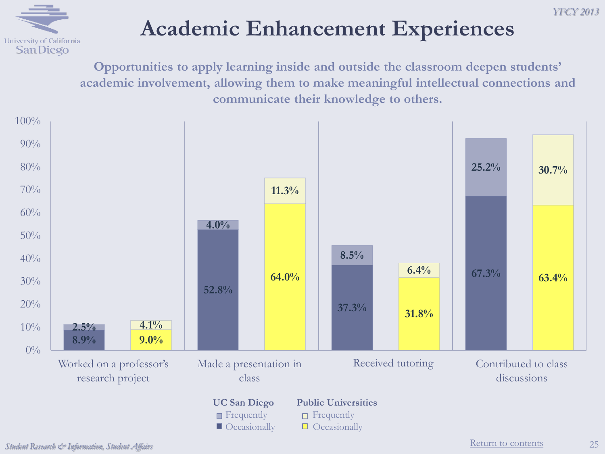## University of California **SanDiego**

## **Academic Enhancement Experiences**

**Opportunities to apply learning inside and outside the classroom deepen students' academic involvement, allowing them to make meaningful intellectual connections and communicate their knowledge to others.**

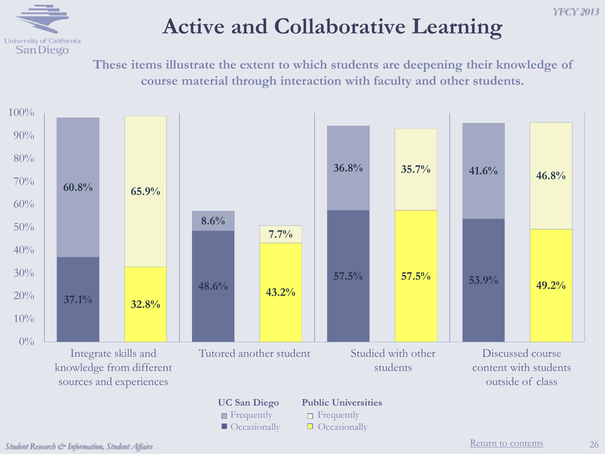

**These items illustrate the extent to which students are deepening their knowledge of course material through interaction with faculty and other students.**



*YFCY 2013*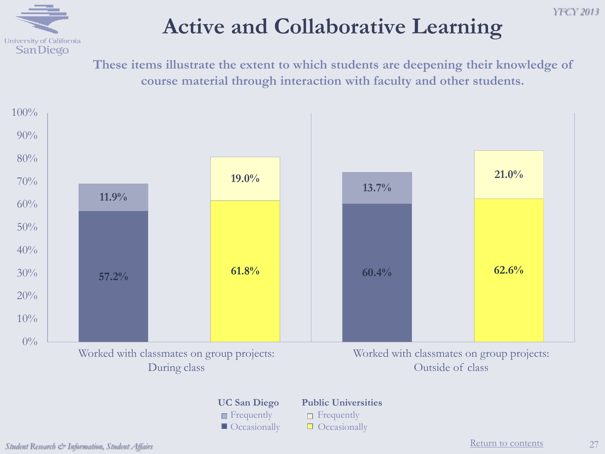

## **Active and Collaborative Learning**

*YFCY 2013*

**These items illustrate the extent to which students are deepening their knowledge of course material through interaction with faculty and other students.**

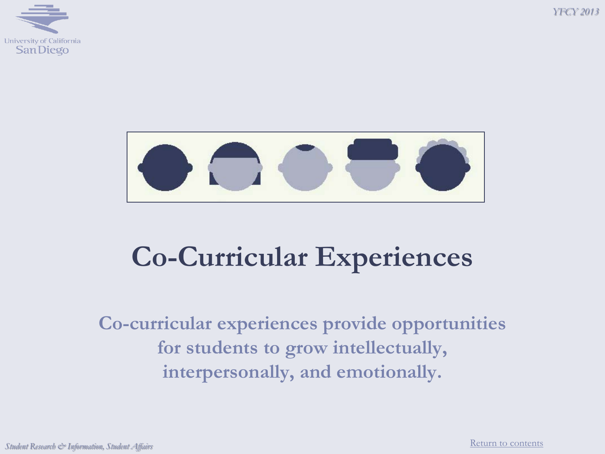





# **Co-Curricular Experiences**

**Co-curricular experiences provide opportunities for students to grow intellectually, interpersonally, and emotionally.**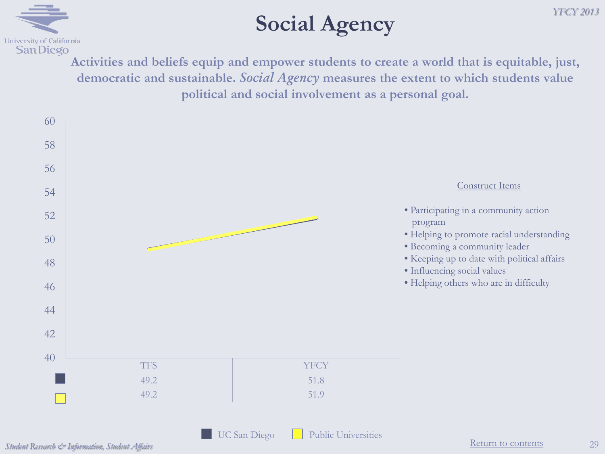

### **Social Agency**

**Activities and beliefs equip and empower students to create a world that is equitable, just, democratic and sustainable.** *Social Agency* **measures the extent to which students value political and social involvement as a personal goal.**

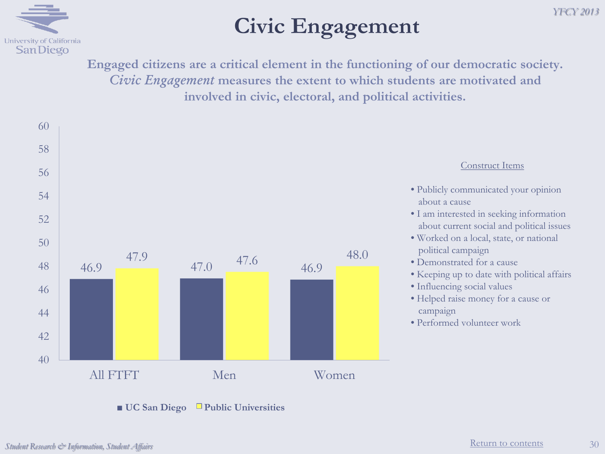

### **Civic Engagement**

**Engaged citizens are a critical element in the functioning of our democratic society.**  *Civic Engagement* **measures the extent to which students are motivated and involved in civic, electoral, and political activities.**



#### Construct Items

*YFCY 2013*

- Publicly communicated your opinion about a cause
- I am interested in seeking information about current social and political issues
- Worked on a local, state, or national political campaign
- Demonstrated for a cause
- Keeping up to date with political affairs
- Influencing social values
- Helped raise money for a cause or campaign
- Performed volunteer work

30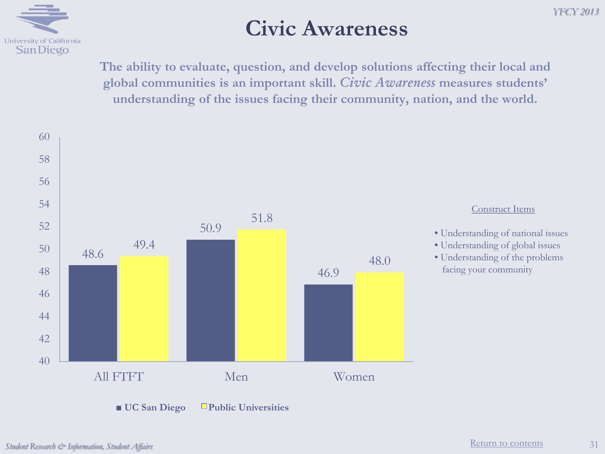

#### **Civic Awareness**

**The ability to evaluate, question, and develop solutions affecting their local and global communities is an important skill.** *Civic Awareness* **measures students' understanding of the issues facing their community, nation, and the world.**



*YFCY 2013*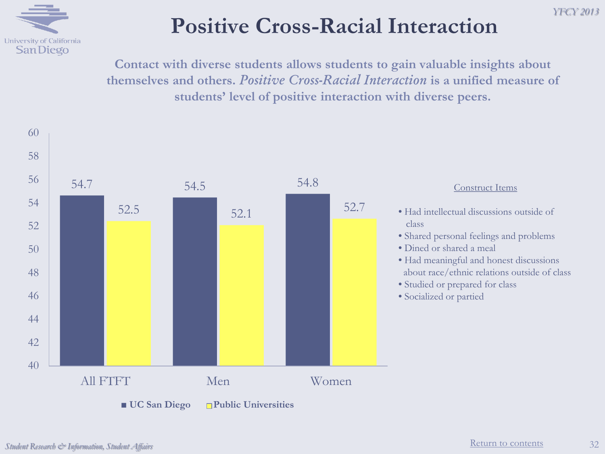

## **Positive Cross-Racial Interaction**

**Contact with diverse students allows students to gain valuable insights about themselves and others.** *Positive Cross-Racial Interaction* **is a unified measure of students' level of positive interaction with diverse peers.**



*YFCY 2013*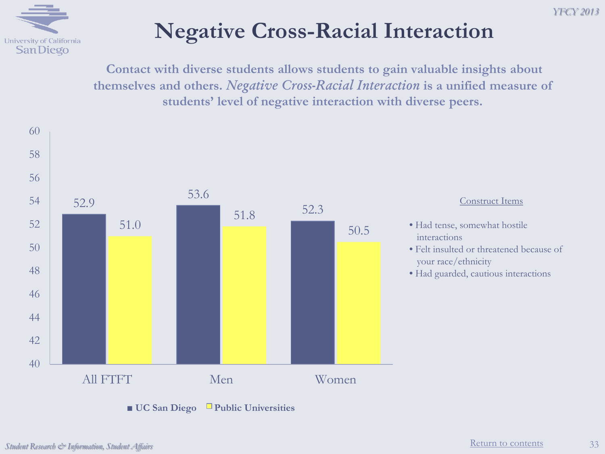



### **Negative Cross-Racial Interaction**

**Contact with diverse students allows students to gain valuable insights about themselves and others.** *Negative Cross-Racial Interaction* **is a unified measure of students' level of negative interaction with diverse peers.**

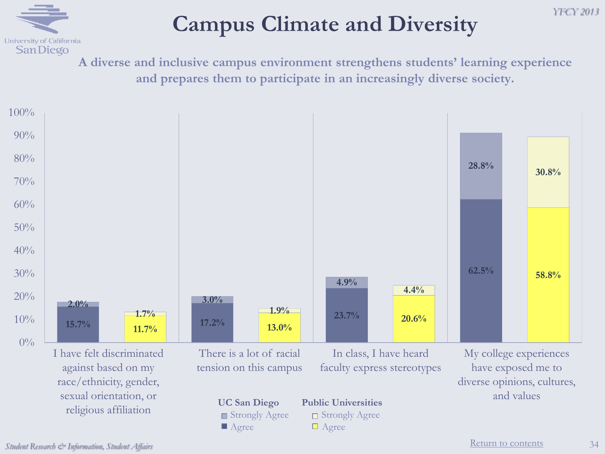## University of California **SanDiego**

## **Campus Climate and Diversity**

**A diverse and inclusive campus environment strengthens students' learning experience and prepares them to participate in an increasingly diverse society.** 

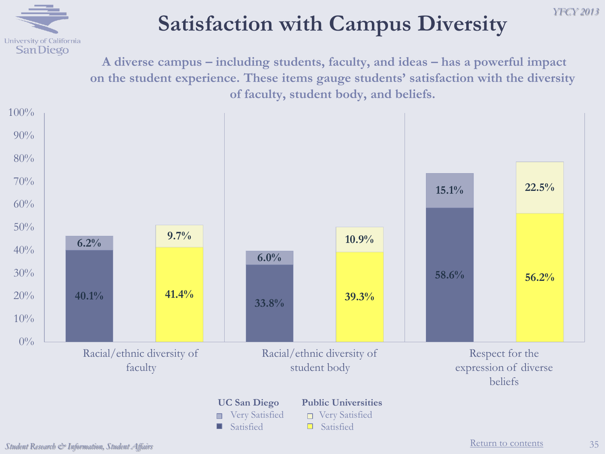

### **Satisfaction with Campus Diversity**

**A diverse campus – including students, faculty, and ideas – has a powerful impact on the student experience. These items gauge students' satisfaction with the diversity of faculty, student body, and beliefs.** 



*YFCY 2013*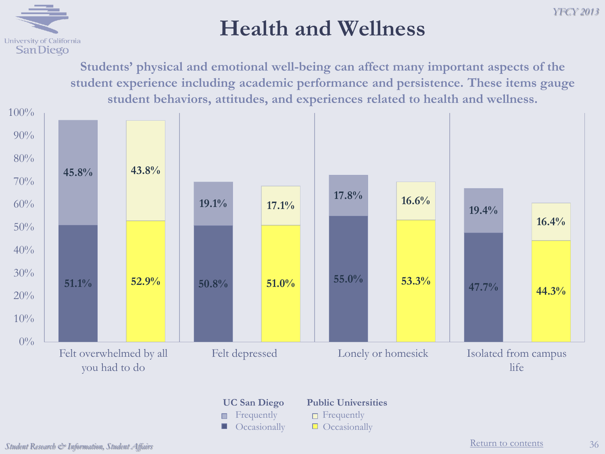## University of California **SanDiego**

#### **Health and Wellness**

**Students' physical and emotional well-being can affect many important aspects of the student experience including academic performance and persistence. These items gauge student behaviors, attitudes, and experiences related to health and wellness.**



# **Figure** Frequently **Figure** Frequently

**UC San Diego Public Universities**

 $\Box$  Occasionally  $\Box$  Occasionally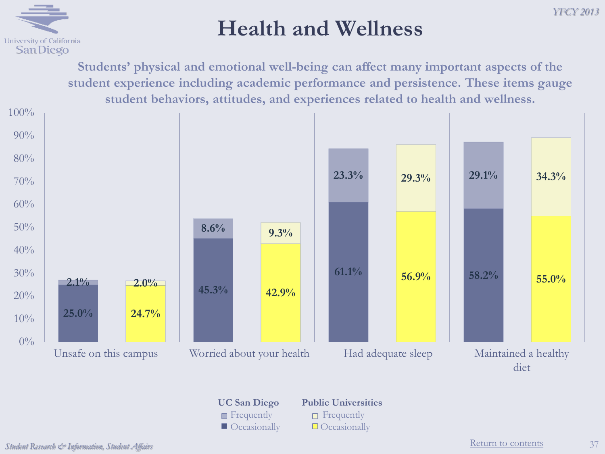## **Health and Wellness**

**Students' physical and emotional well-being can affect many important aspects of the student experience including academic performance and persistence. These items gauge student behaviors, attitudes, and experiences related to health and wellness.**



**Figurently Figurently Figurently**  $\Box$  Occasionally  $\Box$  Occasionally

**UC San Diego Public Universities**

University of California **SanDiego**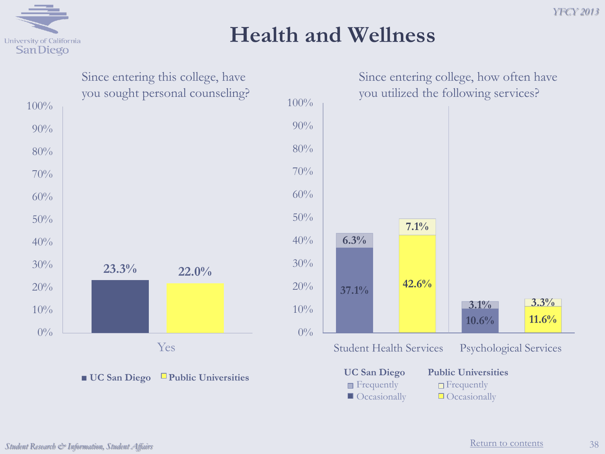

#### **Health and Wellness**



38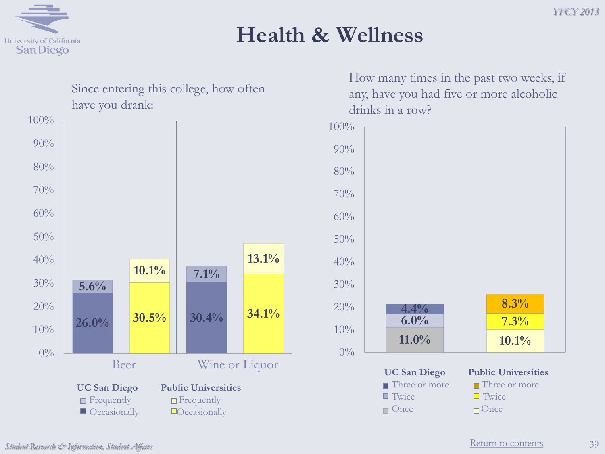

#### **Health & Wellness**

| Since entering this college, how often            |                                                                                       |       |                |       |
|---------------------------------------------------|---------------------------------------------------------------------------------------|-------|----------------|-------|
|                                                   | have you drank:                                                                       |       |                |       |
| 100%                                              |                                                                                       |       |                |       |
| 90%                                               |                                                                                       |       |                |       |
| 80%                                               |                                                                                       |       |                |       |
| 70%                                               |                                                                                       |       |                |       |
| 60%                                               |                                                                                       |       |                |       |
| 50%                                               |                                                                                       |       |                |       |
| 40%                                               |                                                                                       | 10.1% |                | 13.1% |
| 30%                                               | 5.6%                                                                                  |       | 7.1%           |       |
| 20%                                               |                                                                                       | 30.5% | 30.4%          | 34.1% |
| 10%                                               | 26.0%                                                                                 |       |                |       |
| $0\%$                                             |                                                                                       |       |                |       |
|                                                   | Beer                                                                                  |       | Wine or Liquor |       |
| <b>UC San Diego</b><br><b>Public Universities</b> |                                                                                       |       |                |       |
|                                                   | $\blacksquare$ Frequently<br>$\Box$ Frequently<br>Occasionally<br>$\Box$ Occasionally |       |                |       |

How many times in the past two weeks, if any, have you had five or more alcoholic drinks in a row?

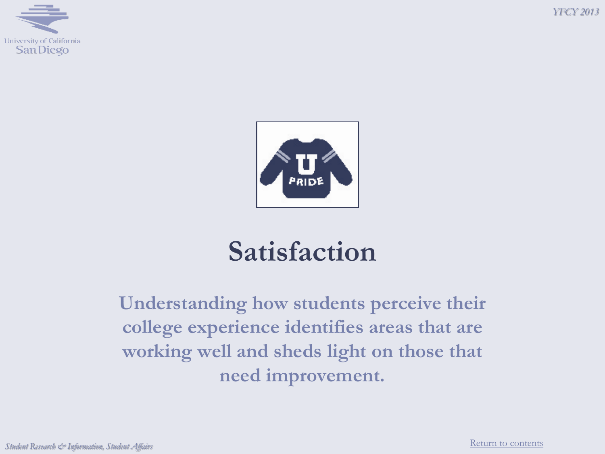





# **Satisfaction**

**Understanding how students perceive their college experience identifies areas that are working well and sheds light on those that need improvement.**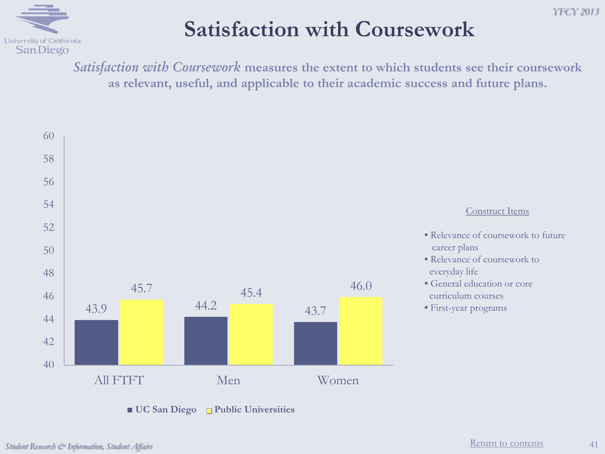

### **Satisfaction with Coursework**

*Satisfaction with Coursework* **measures the extent to which students see their coursework as relevant, useful, and applicable to their academic success and future plans.**



■ **UC** San Diego □ Public Universities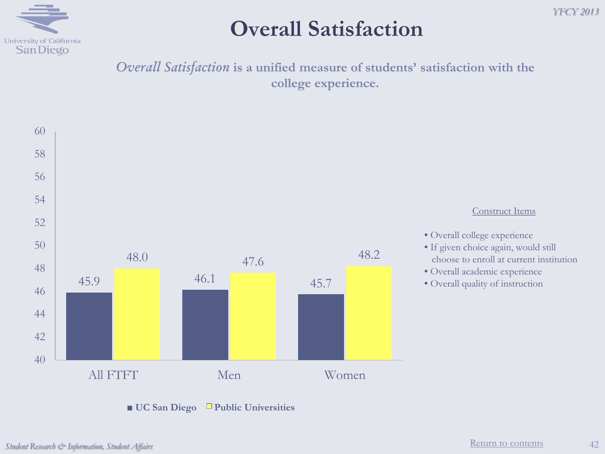

#### **Overall Satisfaction**

*Overall Satisfaction* **is a unified measure of students' satisfaction with the college experience.**



■ **UC** San Diego Public Universities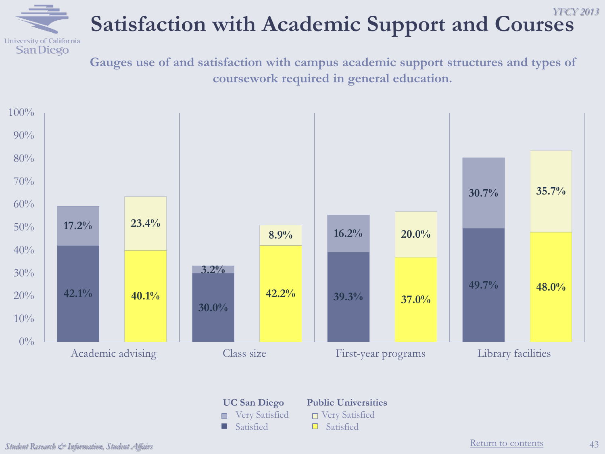

#### *YFCY 2013* **Satisfaction with Academic Support and Courses**

**Gauges use of and satisfaction with campus academic support structures and types of coursework required in general education.**



 $\Box$  Satisfied  $\Box$  Satisfied

**UC San Diego Public Universities**

Very Satisfied □ Very Satisfied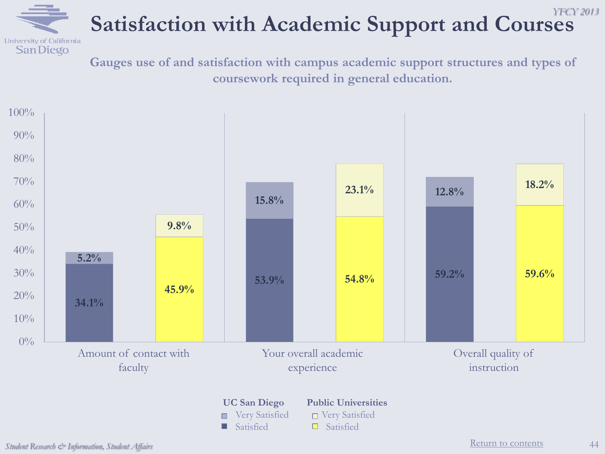

#### *YFCY 2013* **Satisfaction with Academic Support and Courses**

**Gauges use of and satisfaction with campus academic support structures and types of coursework required in general education.**

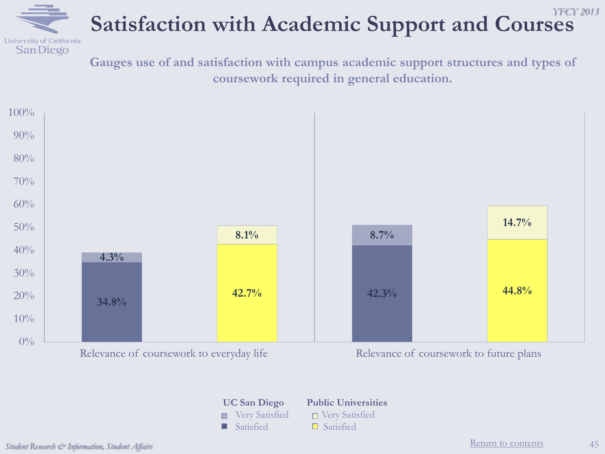

#### *YFCY 2013* **Satisfaction with Academic Support and Courses**

**Gauges use of and satisfaction with campus academic support structures and types of coursework required in general education.**



**UC San Diego Public Universities** ■ Very Satisfied ■ Very Satisfied  $\Box$  Satisfied  $\Box$  Satisfied

*Student Research & Information, Student Affairs* 45

**[Return to contents](#page-2-0)**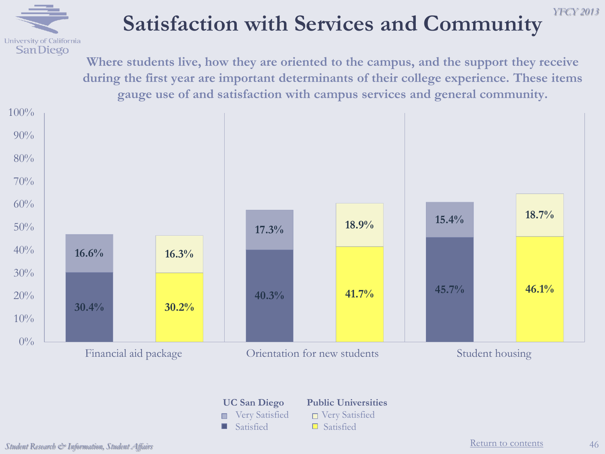

## **Satisfaction with Services and Community**

**Where students live, how they are oriented to the campus, and the support they receive during the first year are important determinants of their college experience. These items gauge use of and satisfaction with campus services and general community.**



# $\Box$  Satisfied  $\Box$  Satisfied

#### **UC San Diego Public Universities**

- Very Satisfied □ Very Satisfied
	-

*YFCY 2013*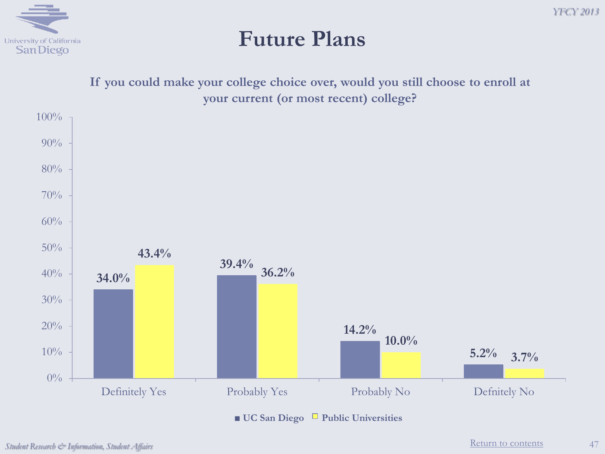

**Future Plans**



*Student Research & Information, Student Affairs*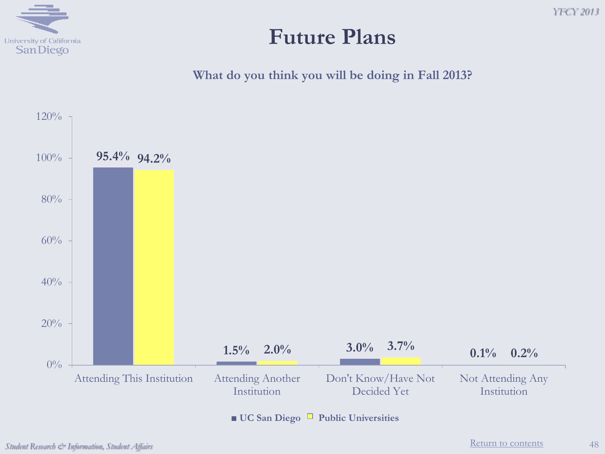

#### **Future Plans**

**What do you think you will be doing in Fall 2013?**